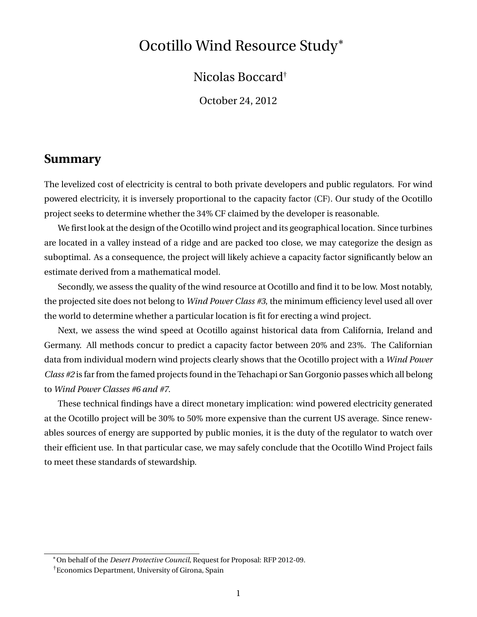# Ocotillo Wind Resource Study<sup>∗</sup>

Nicolas Boccard†

October 24, 2012

#### **Summary**

The levelized cost of electricity is central to both private developers and public regulators. For wind powered electricity, it is inversely proportional to the capacity factor (CF). Our study of the Ocotillo project seeks to determine whether the 34% CF claimed by the developer is reasonable.

We first look at the design of the Ocotillo wind project and its geographical location. Since turbines are located in a valley instead of a ridge and are packed too close, we may categorize the design as suboptimal. As a consequence, the project will likely achieve a capacity factor significantly below an estimate derived from a mathematical model.

Secondly, we assess the quality of the wind resource at Ocotillo and find it to be low. Most notably, the projected site does not belong to *Wind Power Class #3*, the minimum efficiency level used all over the world to determine whether a particular location is fit for erecting a wind project.

Next, we assess the wind speed at Ocotillo against historical data from California, Ireland and Germany. All methods concur to predict a capacity factor between 20% and 23%. The Californian data from individual modern wind projects clearly shows that the Ocotillo project with a *Wind Power Class #2* is far from the famed projects found in the Tehachapi or San Gorgonio passes which all belong to *Wind Power Classes #6 and #7*.

These technical findings have a direct monetary implication: wind powered electricity generated at the Ocotillo project will be 30% to 50% more expensive than the current US average. Since renewables sources of energy are supported by public monies, it is the duty of the regulator to watch over their efficient use. In that particular case, we may safely conclude that the Ocotillo Wind Project fails to meet these standards of stewardship.

<sup>∗</sup>On behalf of the *Desert Protective Council*, Request for Proposal: RFP 2012-09.

<sup>†</sup>Economics Department, University of Girona, Spain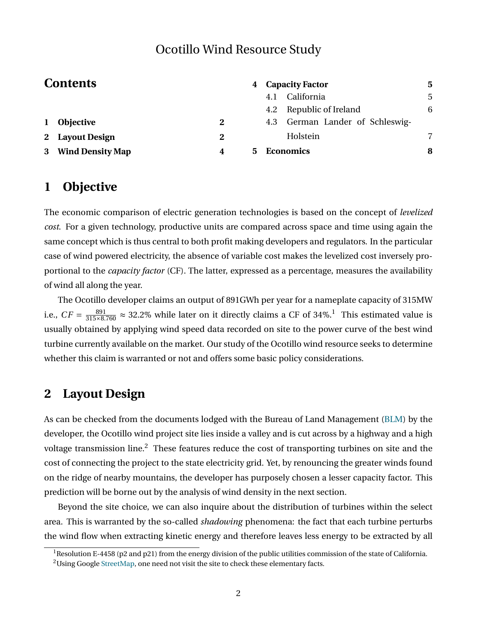# Ocotillo Wind Resource Study

|          | <b>Contents</b>    |   | <b>Capacity Factor</b><br>4 |     |                             |   |  |
|----------|--------------------|---|-----------------------------|-----|-----------------------------|---|--|
|          |                    |   |                             |     | California                  | 5 |  |
|          |                    |   |                             |     | 4.2 Republic of Ireland     | 6 |  |
| $\bf{1}$ | <b>Objective</b>   | 2 |                             | 4.3 | German Lander of Schleswig- |   |  |
|          | 2 Layout Design    | 2 |                             |     | Holstein                    |   |  |
|          | 3 Wind Density Map | 4 | 5                           |     | <b>Economics</b>            | 8 |  |

### <span id="page-1-0"></span>**1 Objective**

The economic comparison of electric generation technologies is based on the concept of *levelized cost*. For a given technology, productive units are compared across space and time using again the same concept which is thus central to both profit making developers and regulators. In the particular case of wind powered electricity, the absence of variable cost makes the levelized cost inversely proportional to the *capacity factor* (CF). The latter, expressed as a percentage, measures the availability of wind all along the year.

The Ocotillo developer claims an output of 891GWh per year for a nameplate capacity of 315MW i.e.,  $CF = \frac{891}{315 \times 8.760} \approx 32.2\%$  $CF = \frac{891}{315 \times 8.760} \approx 32.2\%$  $CF = \frac{891}{315 \times 8.760} \approx 32.2\%$  while later on it directly claims a CF of 34%.<sup>1</sup> This estimated value is usually obtained by applying wind speed data recorded on site to the power curve of the best wind turbine currently available on the market. Our study of the Ocotillo wind resource seeks to determine whether this claim is warranted or not and offers some basic policy considerations.

### <span id="page-1-1"></span>**2 Layout Design**

As can be checked from the documents lodged with the Bureau of Land Management [\(BLM\)](http://on.doi.gov/eMSOsQ) by the developer, the Ocotillo wind project site lies inside a valley and is cut across by a highway and a high voltage transmission line.<sup>[2](#page-1-3)</sup> These features reduce the cost of transporting turbines on site and the cost of connecting the project to the state electricity grid. Yet, by renouncing the greater winds found on the ridge of nearby mountains, the developer has purposely chosen a lesser capacity factor. This prediction will be borne out by the analysis of wind density in the next section.

Beyond the site choice, we can also inquire about the distribution of turbines within the select area. This is warranted by the so-called *shadowing* phenomena: the fact that each turbine perturbs the wind flow when extracting kinetic energy and therefore leaves less energy to be extracted by all

<span id="page-1-3"></span><span id="page-1-2"></span><sup>&</sup>lt;sup>1</sup>Resolution E-4458 (p2 and p21) from the energy division of the public utilities commission of the state of California.

<sup>&</sup>lt;sup>2</sup>Using Google [StreetMap,](http://bit.ly/OGpvUv) one need not visit the site to check these elementary facts.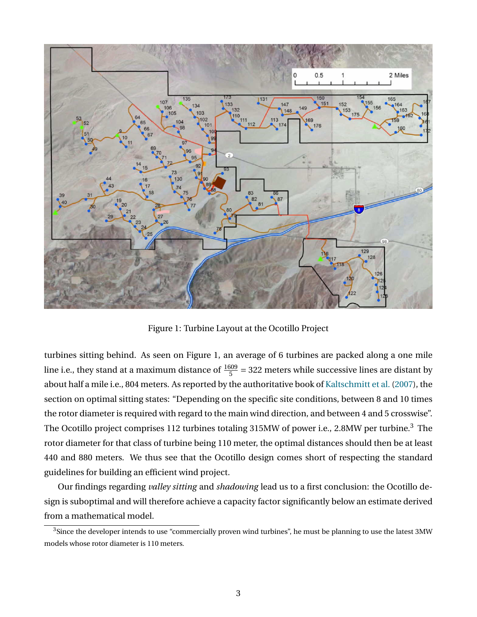

<span id="page-2-0"></span>Figure 1: Turbine Layout at the Ocotillo Project

turbines sitting behind. As seen on Figure [1,](#page-2-0) an average of 6 turbines are packed along a one mile line i.e., they stand at a maximum distance of  $\frac{1609}{5}$  = 322 meters while successive lines are distant by about half a mile i.e., 804 meters. As reported by the authoritative book of [Kaltschmitt et al.](#page-8-0) [\(2007\)](#page-8-0), the section on optimal sitting states: "Depending on the specific site conditions, between 8 and 10 times the rotor diameter is required with regard to the main wind direction, and between 4 and 5 crosswise". The Ocotillo project comprises 112 turbines totaling [3](#page-2-1)15MW of power i.e., 2.8MW per turbine.<sup>3</sup> The rotor diameter for that class of turbine being 110 meter, the optimal distances should then be at least 440 and 880 meters. We thus see that the Ocotillo design comes short of respecting the standard guidelines for building an efficient wind project.

Our findings regarding *valley sitting* and *shadowing* lead us to a first conclusion: the Ocotillo design is suboptimal and will therefore achieve a capacity factor significantly below an estimate derived from a mathematical model.

<span id="page-2-1"></span><sup>&</sup>lt;sup>3</sup>Since the developer intends to use "commercially proven wind turbines", he must be planning to use the latest 3MW models whose rotor diameter is 110 meters.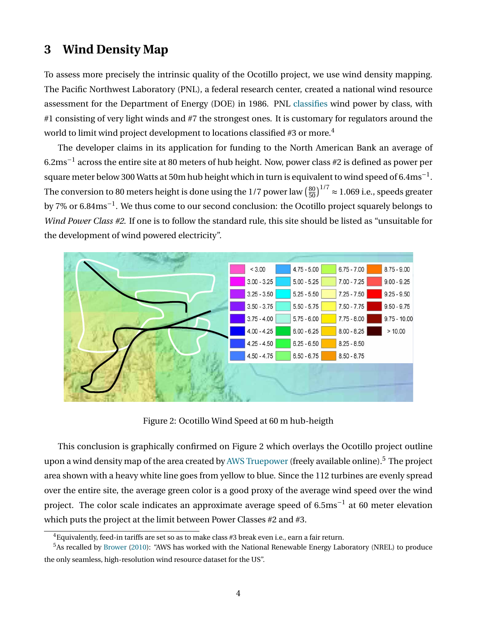### <span id="page-3-0"></span>**3 Wind Density Map**

To assess more precisely the intrinsic quality of the Ocotillo project, we use wind density mapping. The Pacific Northwest Laboratory (PNL), a federal research center, created a national wind resource assessment for the Department of Energy (DOE) in 1986. PNL [classifies](http://en.wikipedia.org/wiki/Wind_profile_power_law) wind power by class, with #1 consisting of very light winds and #7 the strongest ones. It is customary for regulators around the world to limit wind project development to locations classified #3 or more.<sup>[4](#page-3-1)</sup>

The developer claims in its application for funding to the North American Bank an average of  $6.2 \mathrm{ms}^{-1}$  across the entire site at 80 meters of hub height. Now, power class #2 is defined as power per square meter below 300 Watts at 50m hub height which in turn is equivalent to wind speed of 6.4 $\rm ms^{-1}$ . The conversion to 80 meters height is done using the 1/7 power law  $\left(\frac{80}{50}\right)$  $\left(\frac{80}{50}\right)^{1/7} \approx 1.069$  i.e., speeds greater by 7% or 6.84 $\rm ms^{-1}$ . We thus come to our second conclusion: the Ocotillo project squarely belongs to *Wind Power Class #2*. If one is to follow the standard rule, this site should be listed as "unsuitable for the development of wind powered electricity".



<span id="page-3-2"></span>Figure 2: Ocotillo Wind Speed at 60 m hub-heigth

This conclusion is graphically confirmed on Figure [2](#page-3-2) which overlays the Ocotillo project outline upon a wind density map of the area created by [AWS Truepower](http://www.awstruepower.com) (freely available online).<sup>[5](#page-3-3)</sup> The project area shown with a heavy white line goes from yellow to blue. Since the 112 turbines are evenly spread over the entire site, the average green color is a good proxy of the average wind speed over the wind project. The color scale indicates an approximate average speed of 6.5ms<sup>-1</sup> at 60 meter elevation which puts the project at the limit between Power Classes #2 and #3.

<span id="page-3-3"></span><span id="page-3-1"></span> ${}^{4}$ Equivalently, feed-in tariffs are set so as to make class #3 break even i.e., earn a fair return.

<sup>5</sup>As recalled by [Brower](#page-8-1) [\(2010\)](#page-8-1): "AWS has worked with the National Renewable Energy Laboratory (NREL) to produce the only seamless, high-resolution wind resource dataset for the US".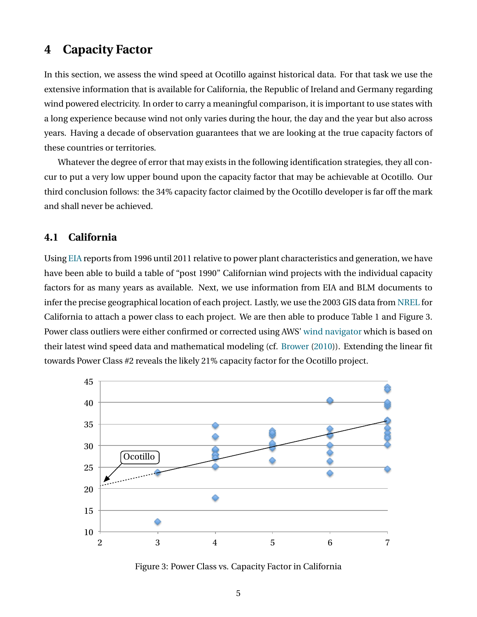### <span id="page-4-0"></span>**4 Capacity Factor**

In this section, we assess the wind speed at Ocotillo against historical data. For that task we use the extensive information that is available for California, the Republic of Ireland and Germany regarding wind powered electricity. In order to carry a meaningful comparison, it is important to use states with a long experience because wind not only varies during the hour, the day and the year but also across years. Having a decade of observation guarantees that we are looking at the true capacity factors of these countries or territories.

Whatever the degree of error that may exists in the following identification strategies, they all concur to put a very low upper bound upon the capacity factor that may be achievable at Ocotillo. Our third conclusion follows: the 34% capacity factor claimed by the Ocotillo developer is far off the mark and shall never be achieved.

#### <span id="page-4-1"></span>**4.1 California**

Using [EIA](http://www.eia.gov/electricity/data/eia923/) reports from 1996 until 2011 relative to power plant characteristics and generation, we have have been able to build a table of "post 1990" Californian wind projects with the individual capacity factors for as many years as available. Next, we use information from EIA and BLM documents to infer the precise geographical location of each project. Lastly, we use the 2003 GIS data from [NREL](http://www.nrel.gov/gis/data_wind.html) for California to attach a power class to each project. We are then able to produce Table [1](#page-5-1) and Figure [3.](#page-4-2) Power class outliers were either confirmed or corrected using AWS' [wind navigator](https://windnavigator.com) which is based on their latest wind speed data and mathematical modeling (cf. [Brower](#page-8-1) [\(2010\)](#page-8-1)). Extending the linear fit towards Power Class #2 reveals the likely 21% capacity factor for the Ocotillo project.



<span id="page-4-2"></span>Figure 3: Power Class vs. Capacity Factor in California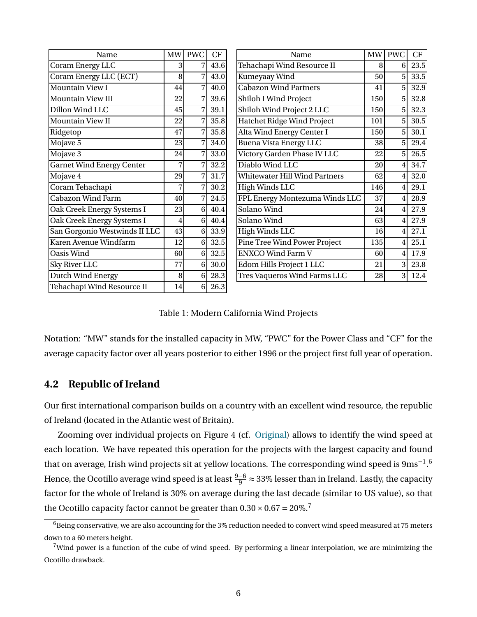| Name                             |    | <b>PWC</b><br>MW     | CF   | Name                                 | MW  | <b>PWC</b>     | CF   |
|----------------------------------|----|----------------------|------|--------------------------------------|-----|----------------|------|
| Coram Energy LLC                 |    |                      | 43.6 | Tehachapi Wind Resource II           | 8   | 6              | 23.5 |
| Coram Energy LLC (ECT)           |    | $\overline{7}$<br>8  | 43.0 | Kumeyaay Wind                        | 50  | 5 <sup>1</sup> | 33.5 |
| Mountain View I                  | 44 | $\overline{7}$       | 40.0 | <b>Cabazon Wind Partners</b>         | 41  | 5 <sup>1</sup> | 32.9 |
| Mountain View III                | 22 | $\overline{7}$       | 39.6 | Shiloh I Wind Project                | 150 | 5 <sup>1</sup> | 32.8 |
| Dillon Wind LLC                  | 45 | $\overline{7}$       | 39.1 | Shiloh Wind Project 2 LLC            | 150 | 5 <sup>1</sup> | 32.3 |
| Mountain View II                 |    | $\overline{7}$<br>22 | 35.8 | <b>Hatchet Ridge Wind Project</b>    | 101 | 5 <sup>1</sup> | 30.5 |
| Ridgetop                         |    | $\overline{7}$<br>47 | 35.8 | Alta Wind Energy Center I            | 150 | 5 <sup>1</sup> | 30.1 |
| Mojave 5                         |    | $\overline{7}$<br>23 | 34.0 | <b>Buena Vista Energy LLC</b>        | 38  | 5              | 29.4 |
| Mojave 3                         |    | $\overline{7}$<br>24 | 33.0 | Victory Garden Phase IV LLC          | 22  | 5 <sup>1</sup> | 26.5 |
| <b>Garnet Wind Energy Center</b> |    | 7                    | 32.2 | Diablo Wind LLC                      | 20  |                | 34.7 |
| Mojave 4                         | 29 | $\overline{7}$       | 31.7 | <b>Whitewater Hill Wind Partners</b> | 62  |                | 32.0 |
| Coram Tehachapi                  | 7  | $\overline{7}$       | 30.2 | High Winds LLC                       | 146 | 4              | 29.1 |
| <b>Cabazon Wind Farm</b>         |    | 7<br>40              | 24.5 | FPL Energy Montezuma Winds LLC       | 37  |                | 28.9 |
| Oak Creek Energy Systems I       |    | 6 <sup>1</sup><br>23 | 40.4 | Solano Wind                          | 24  | 41             | 27.9 |
| Oak Creek Energy Systems I       | 4  | 6 <sup>1</sup>       | 40.4 | Solano Wind                          | 63  |                | 27.9 |
| San Gorgonio Westwinds II LLC    | 43 | $6\phantom{1}$       | 33.9 | <b>High Winds LLC</b>                | 16  | 4              | 27.1 |
| Karen Avenue Windfarm            | 12 | 6 <sup>1</sup>       | 32.5 | Pine Tree Wind Power Project         | 135 | $\overline{4}$ | 25.1 |
| Oasis Wind                       | 60 | 6 <sup>1</sup>       | 32.5 | <b>ENXCO Wind Farm V</b>             | 60  |                | 17.9 |
| Sky River LLC                    |    | $6\phantom{1}$       | 30.0 | Edom Hills Project 1 LLC             | 21  | 3              | 23.8 |
| Dutch Wind Energy                |    | $6\phantom{1}$<br>8  | 28.3 | <b>Tres Vaqueros Wind Farms LLC</b>  | 28  | 31             | 12.4 |
| Tehachapi Wind Resource II       | 14 | $6\vert$             | 26.3 |                                      |     |                |      |

<span id="page-5-1"></span>

| Table 1: Modern California Wind Projects |
|------------------------------------------|
|------------------------------------------|

Notation: "MW" stands for the installed capacity in MW, "PWC" for the Power Class and "CF" for the average capacity factor over all years posterior to either 1996 or the project first full year of operation.

#### <span id="page-5-0"></span>**4.2 Republic of Ireland**

Our first international comparison builds on a country with an excellent wind resource, the republic of Ireland (located in the Atlantic west of Britain).

Zooming over individual projects on Figure [4](#page-6-1) (cf. [Original\)](http://www.seai.ie/Renewables/Wind_Energy/Wind_Maps/) allows to identify the wind speed at each location. We have repeated this operation for the projects with the largest capacity and found that on average, Irish wind projects sit at yellow locations. The corresponding wind speed is  $9\mathrm{ms}^{-1}.^6$  $9\mathrm{ms}^{-1}.^6$ Hence, the Ocotillo average wind speed is at least  $\frac{9-6}{9}$  ≈ 33% lesser than in Ireland. Lastly, the capacity factor for the whole of Ireland is 30% on average during the last decade (similar to US value), so that the Ocotillo capacity factor cannot be greater than  $0.30 \times 0.67 = 20\%$  $0.30 \times 0.67 = 20\%$  $0.30 \times 0.67 = 20\%$ .<sup>7</sup>

<span id="page-5-2"></span><sup>&</sup>lt;sup>6</sup>Being conservative, we are also accounting for the 3% reduction needed to convert wind speed measured at 75 meters down to a 60 meters height.

<span id="page-5-3"></span> $7$ Wind power is a function of the cube of wind speed. By performing a linear interpolation, we are minimizing the Ocotillo drawback.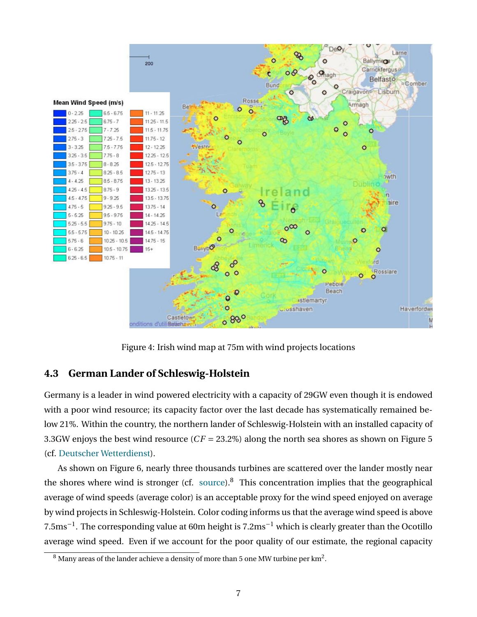

<span id="page-6-1"></span>Figure 4: Irish wind map at 75m with wind projects locations

#### <span id="page-6-0"></span>**4.3 German Lander of Schleswig-Holstein**

Germany is a leader in wind powered electricity with a capacity of 29GW even though it is endowed with a poor wind resource; its capacity factor over the last decade has systematically remained below 21%. Within the country, the northern lander of Schleswig-Holstein with an installed capacity of 3.3GW enjoys the best wind resource (*C F* = 23.2%) along the north sea shores as shown on Figure [5](#page-7-1) (cf. [Deutscher Wetterdienst\)](http://bit.ly/S88NO8).

As shown on Figure [6,](#page-8-2) nearly three thousands turbines are scattered over the lander mostly near the shores where wind is stronger (cf. [source\)](http://www.thewindpower.net/country_maps_en_2_germany.php).<sup>[8](#page-6-2)</sup> This concentration implies that the geographical average of wind speeds (average color) is an acceptable proxy for the wind speed enjoyed on average by wind projects in Schleswig-Holstein. Color coding informs us that the average wind speed is above  $7.5 \mathrm{ms}^{-1}$  . The corresponding value at 60m height is  $7.2 \mathrm{ms}^{-1}$  which is clearly greater than the Ocotillo average wind speed. Even if we account for the poor quality of our estimate, the regional capacity

<span id="page-6-2"></span> $^8$  Many areas of the lander achieve a density of more than 5 one MW turbine per km $^2\!$  .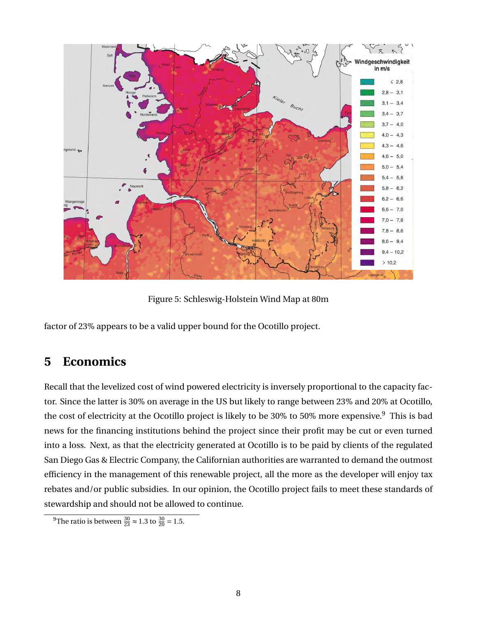

<span id="page-7-1"></span>Figure 5: Schleswig-Holstein Wind Map at 80m

factor of 23% appears to be a valid upper bound for the Ocotillo project.

# <span id="page-7-0"></span>**5 Economics**

Recall that the levelized cost of wind powered electricity is inversely proportional to the capacity factor. Since the latter is 30% on average in the US but likely to range between 23% and 20% at Ocotillo, the cost of electricity at the Ocotillo project is likely to be 30% to 50% more expensive.<sup>[9](#page-7-2)</sup> This is bad news for the financing institutions behind the project since their profit may be cut or even turned into a loss. Next, as that the electricity generated at Ocotillo is to be paid by clients of the regulated San Diego Gas & Electric Company, the Californian authorities are warranted to demand the outmost efficiency in the management of this renewable project, all the more as the developer will enjoy tax rebates and/or public subsidies. In our opinion, the Ocotillo project fails to meet these standards of stewardship and should not be allowed to continue.

<span id="page-7-2"></span><sup>9</sup>The ratio is between  $\frac{30}{23} \approx 1.3$  to  $\frac{30}{20} = 1.5$ .